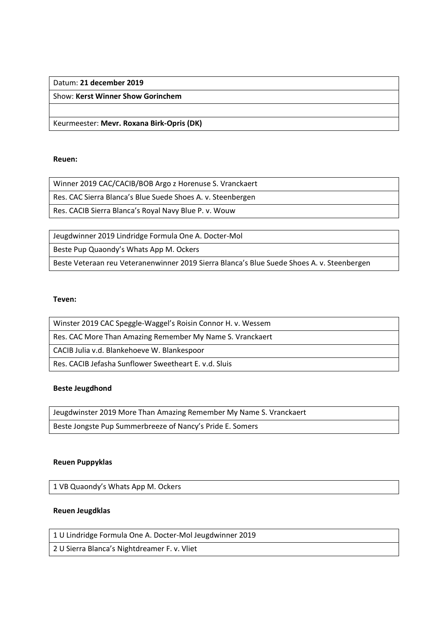# Datum: **21 december 2019**

Show: **Kerst Winner Show Gorinchem**

Keurmeester: **Mevr. Roxana Birk-Opris (DK)**

## **Reuen:**

Winner 2019 CAC/CACIB/BOB Argo z Horenuse S. Vranckaert

Res. CAC Sierra Blanca's Blue Suede Shoes A. v. Steenbergen

Res. CACIB Sierra Blanca's Royal Navy Blue P. v. Wouw

Jeugdwinner 2019 Lindridge Formula One A. Docter-Mol

Beste Pup Quaondy's Whats App M. Ockers

Beste Veteraan reu Veteranenwinner 2019 Sierra Blanca's Blue Suede Shoes A. v. Steenbergen

## **Teven:**

| Winster 2019 CAC Speggle-Waggel's Roisin Connor H. v. Wessem |
|--------------------------------------------------------------|
| Res. CAC More Than Amazing Remember My Name S. Vranckaert    |
| CACIB Julia v.d. Blankehoeve W. Blankespoor                  |
| Res. CACIB Jefasha Sunflower Sweetheart E. v.d. Sluis        |

## **Beste Jeugdhond**

Jeugdwinster 2019 More Than Amazing Remember My Name S. Vranckaert Beste Jongste Pup Summerbreeze of Nancy's Pride E. Somers

## **Reuen Puppyklas**

1 VB Quaondy's Whats App M. Ockers

## **Reuen Jeugdklas**

1 U Lindridge Formula One A. Docter-Mol Jeugdwinner 2019

2 U Sierra Blanca's Nightdreamer F. v. Vliet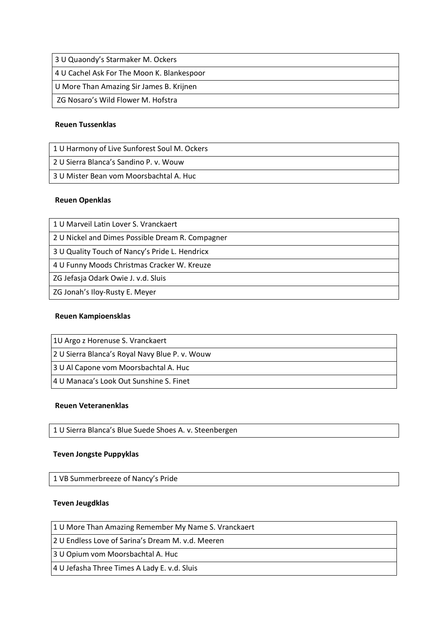| 3 U Quaondy's Starmaker M. Ockers          |
|--------------------------------------------|
| 4 U Cachel Ask For The Moon K. Blankespoor |
| U More Than Amazing Sir James B. Krijnen   |
| ZG Nosaro's Wild Flower M. Hofstra         |

### **Reuen Tussenklas**

| 1 U Harmony of Live Sunforest Soul M. Ockers |
|----------------------------------------------|
| 2 U Sierra Blanca's Sandino P. v. Wouw       |
| 3 U Mister Bean vom Moorsbachtal A. Huc      |

#### **Reuen Openklas**

| 1 U Marveil Latin Lover S. Vranckaert            |
|--------------------------------------------------|
| 2 U Nickel and Dimes Possible Dream R. Compagner |
| 3 U Quality Touch of Nancy's Pride L. Hendricx   |
| 4 U Funny Moods Christmas Cracker W. Kreuze      |
| ZG Jefasja Odark Owie J. v.d. Sluis              |
| ZG Jonah's Iloy-Rusty E. Meyer                   |

# **Reuen Kampioensklas**

2 U Sierra Blanca's Royal Navy Blue P. v. Wouw

3 U Al Capone vom Moorsbachtal A. Huc

4 U Manaca's Look Out Sunshine S. Finet

#### **Reuen Veteranenklas**

1 U Sierra Blanca's Blue Suede Shoes A. v. Steenbergen

#### **Teven Jongste Puppyklas**

1 VB Summerbreeze of Nancy's Pride

# **Teven Jeugdklas**

1 U More Than Amazing Remember My Name S. Vranckaert

2 U Endless Love of Sarina's Dream M. v.d. Meeren

3 U Opium vom Moorsbachtal A. Huc

4 U Jefasha Three Times A Lady E. v.d. Sluis